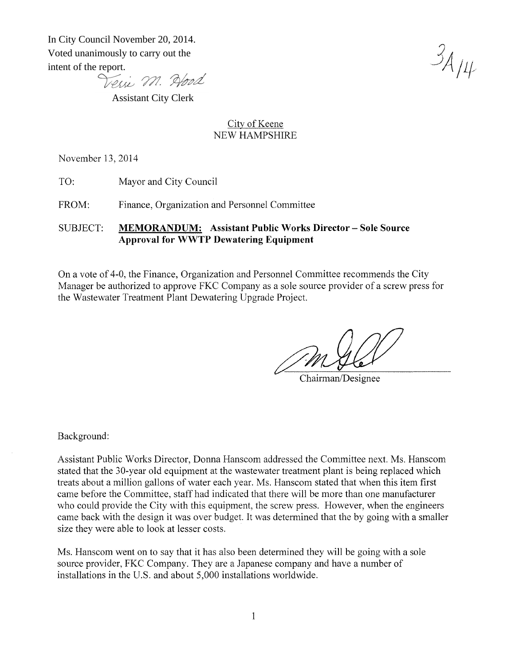In City Council November 20, 2014.

Voted unanimously to carry out the

intent of the report.<br> $\sqrt{\frac{1}{1-\frac{1}{1-\frac{1}{1-\frac{1}{1-\frac{1}{1-\frac{1}{1-\frac{1}{1-\frac{1}{1-\frac{1}{1-\frac{1}{1-\frac{1}{1-\frac{1}{1-\frac{1}{1-\frac{1}{1-\frac{1}{1-\frac{1}{1-\frac{1}{1-\frac{1}{1-\frac{1}{1-\frac{1}{1-\frac{1}{1-\frac{1}{1-\frac{1}{1-\frac{1}{1-\frac{1}{1-\frac{1}{1-\frac{1}{1-\frac{1}{1-\frac{1}{1-\frac{1}{1-\frac{1}{1-\frac{1}{1-\frac{1$ 

 $34/4$ 

Assistant City Clerk

## City of Keene NEW HAMPSHIRE

November 13, 2014

TO: Mayor and City Council

FROM: Finance, Organization and Personnel Committee

## SUBJECT: **MEMORANDUM: Assistant Public Works Director - Sole Source Approval for WWTP Dewatering Equipment**

On a vote of 4-0, the Finance, Organization and Personnel Committee recommends the City Manager be authorized to approve FKC Company as a sole source provider of a screw press for the Wastewater Treatment Plant Dewatering Upgrade Project.

Chairman/Designee

Background:

Assistant Public Works Director, Donna Hanscom addressed the Committee next. Ms. Hanscom stated that the 30-year old equipment at the wastewater treatment plant is being replaced which treats about a million gallons of water each year. Ms. Hanscom stated that when this item first came before the Committee, staff had indicated that there will be more than one manufacturer who could provide the City with this equipment, the screw press. However, when the engineers came back with the design it was over budget. It was determined that the by going with a smaller size they were able to look at lesser costs.

Ms. Hanscom went on to say that it has also been determined they will be going with a sole source provider, FKC Company. They are a Japanese company and have a number of installations in the U.S. and about 5,000 installations worldwide.